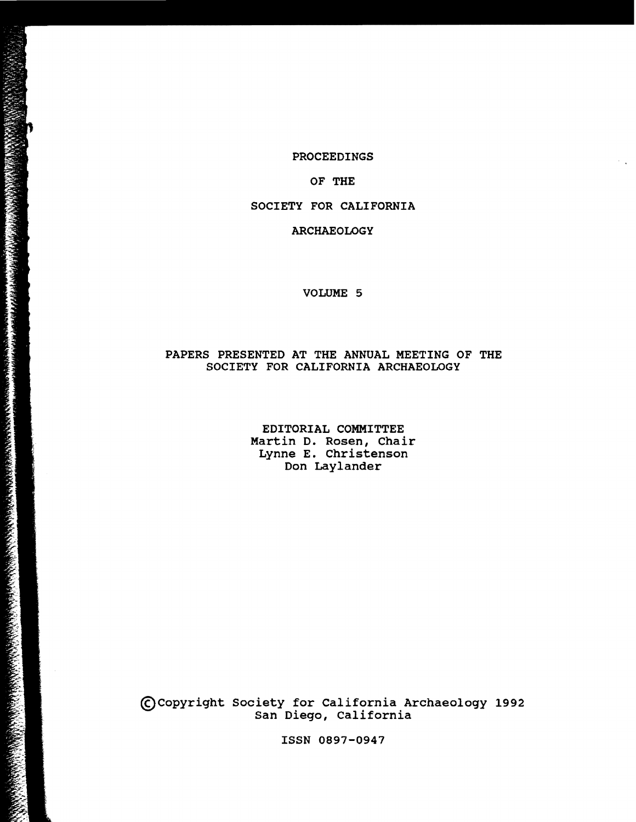#### PROCEEDINGS

 $\sim 10$ 

#### OF THE

## SOCIETY FOR CALIFORNIA

#### ARCHAEOLOGY

#### VOLUME 5

### PAPERS PRESENTED AT THE ANNUAL MEETING OF THE SOCIETY FOR CALIFORNIA ARCHAEOLOGY

EDITORIAL COMMITTEE Martin D. Rosen, Chair Lynne E. Christenson Don Laylander

~copyright Society for California Archaeology 1992 San Diego, California

ISSN 0897-0947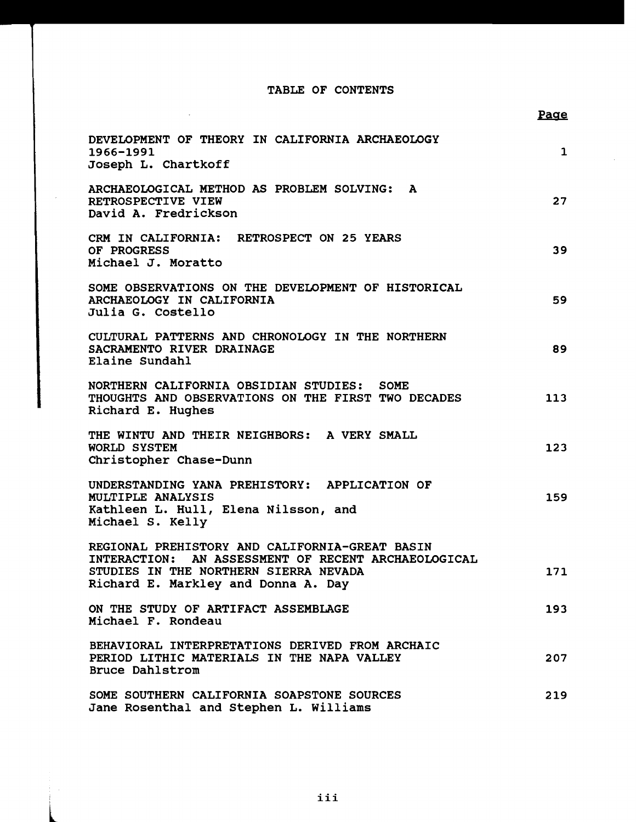# TABLE OF CONTENTS

|                                                                                                                                                                                       | Page         |
|---------------------------------------------------------------------------------------------------------------------------------------------------------------------------------------|--------------|
| DEVELOPMENT OF THEORY IN CALIFORNIA ARCHAEOLOGY<br>1966-1991<br>Joseph L. Chartkoff                                                                                                   | $\mathbf{1}$ |
| ARCHAEOLOGICAL METHOD AS PROBLEM SOLVING: A<br>RETROSPECTIVE VIEW<br>David A. Fredrickson                                                                                             | 27           |
| CRM IN CALIFORNIA: RETROSPECT ON 25 YEARS<br>OF PROGRESS<br>Michael J. Moratto                                                                                                        | 39           |
| SOME OBSERVATIONS ON THE DEVELOPMENT OF HISTORICAL<br>ARCHAEOLOGY IN CALIFORNIA<br>Julia G. Costello                                                                                  | 59           |
| CULTURAL PATTERNS AND CHRONOLOGY IN THE NORTHERN<br>SACRAMENTO RIVER DRAINAGE<br>Elaine Sundahl                                                                                       | 89           |
| NORTHERN CALIFORNIA OBSIDIAN STUDIES: SOME<br>THOUGHTS AND OBSERVATIONS ON THE FIRST TWO DECADES<br>Richard E. Hughes                                                                 | 113          |
| THE WINTU AND THEIR NEIGHBORS: A VERY SMALL<br>WORLD SYSTEM<br>Christopher Chase-Dunn                                                                                                 | 123          |
| UNDERSTANDING YANA PREHISTORY: APPLICATION OF<br>MULTIPLE ANALYSIS<br>Kathleen L. Hull, Elena Nilsson, and<br>Michael S. Kelly                                                        | 159          |
| REGIONAL PREHISTORY AND CALIFORNIA-GREAT BASIN<br>INTERACTION: AN ASSESSMENT OF RECENT ARCHAEOLOGICAL<br>STUDIES IN THE NORTHERN SIERRA NEVADA<br>Richard E. Markley and Donna A. Day | 171          |
| ON THE STUDY OF ARTIFACT ASSEMBLAGE<br>Michael F. Rondeau                                                                                                                             | 193          |
| BEHAVIORAL INTERPRETATIONS DERIVED FROM ARCHAIC<br>PERIOD LITHIC MATERIALS IN THE NAPA VALLEY<br><b>Bruce Dahlstrom</b>                                                               | 207          |
| SOME SOUTHERN CALIFORNIA SOAPSTONE SOURCES<br>Jane Rosenthal and Stephen L. Williams                                                                                                  | 219          |

l